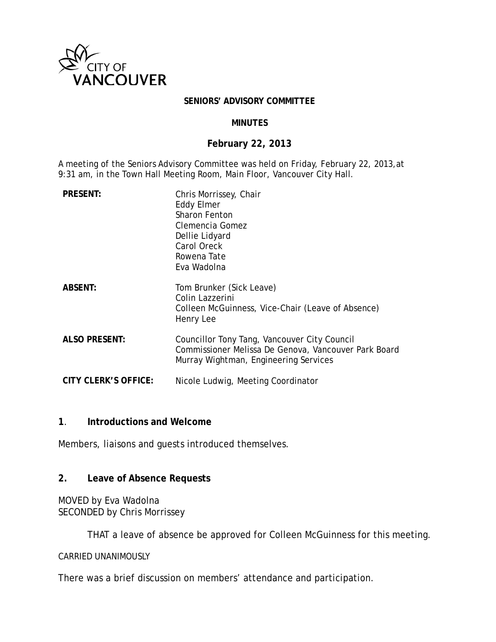

#### **SENIORS' ADVISORY COMMITTEE**

#### **MINUTES**

#### **February 22, 2013**

A meeting of the Seniors Advisory Committee was held on Friday, February 22, 2013,at 9:31 am, in the Town Hall Meeting Room, Main Floor, Vancouver City Hall.

| <b>PRESENT:</b>      | Chris Morrissey, Chair<br><b>Eddy Elmer</b><br><b>Sharon Fenton</b><br>Clemencia Gomez<br>Dellie Lidyard<br>Carol Oreck<br>Rowena Tate<br>Eva Wadolna |
|----------------------|-------------------------------------------------------------------------------------------------------------------------------------------------------|
| <b>ABSENT:</b>       | Tom Brunker (Sick Leave)<br>Colin Lazzerini<br>Colleen McGuinness, Vice-Chair (Leave of Absence)<br>Henry Lee                                         |
| <b>ALSO PRESENT:</b> | Councillor Tony Tang, Vancouver City Council<br>Commissioner Melissa De Genova, Vancouver Park Board<br>Murray Wightman, Engineering Services         |
| CITY CLERK'S OFFICE: | Nicole Ludwig, Meeting Coordinator                                                                                                                    |

#### **1**. **Introductions and Welcome**

Members, liaisons and guests introduced themselves.

#### **2. Leave of Absence Requests**

## MOVED by Eva Wadolna SECONDED by Chris Morrissey

THAT a leave of absence be approved for Colleen McGuinness for this meeting.

#### CARRIED UNANIMOUSLY

There was a brief discussion on members' attendance and participation.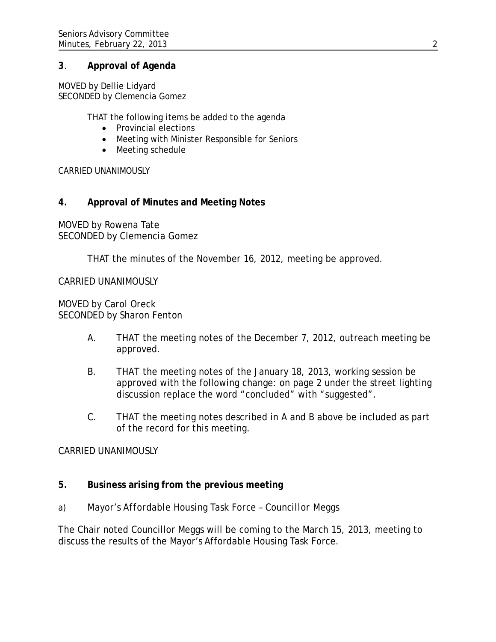### **3**. **Approval of Agenda**

MOVED by Dellie Lidyard SECONDED by Clemencia Gomez

THAT the following items be added to the agenda

- Provincial elections
- Meeting with Minister Responsible for Seniors
- Meeting schedule

CARRIED UNANIMOUSLY

### **4. Approval of Minutes and Meeting Notes**

MOVED by Rowena Tate SECONDED by Clemencia Gomez

THAT the minutes of the November 16, 2012, meeting be approved.

CARRIED UNANIMOUSLY

MOVED by Carol Oreck SECONDED by Sharon Fenton

- A. THAT the meeting notes of the December 7, 2012, outreach meeting be approved.
- B. THAT the meeting notes of the January 18, 2013, working session be approved with the following change: on page 2 under the street lighting discussion replace the word "concluded" with "suggested".
- C. THAT the meeting notes described in A and B above be included as part of the record for this meeting.

#### CARRIED UNANIMOUSLY

- **5. Business arising from the previous meeting**
- *a) Mayor's Affordable Housing Task Force – Councillor Meggs*

The Chair noted Councillor Meggs will be coming to the March 15, 2013, meeting to discuss the results of the Mayor's Affordable Housing Task Force.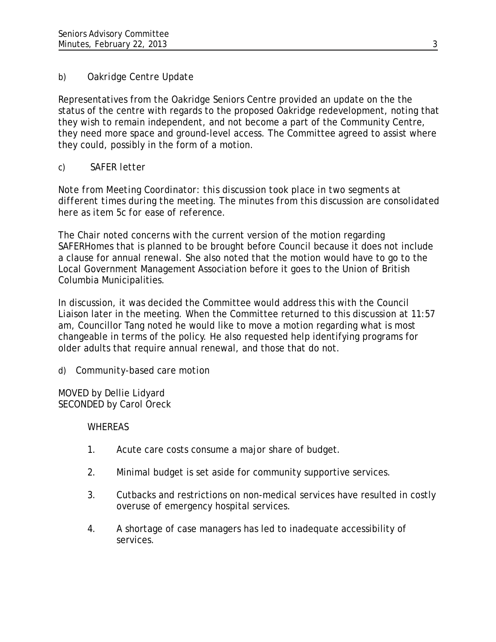# *b) Oakridge Centre Update*

Representatives from the Oakridge Seniors Centre provided an update on the the status of the centre with regards to the proposed Oakridge redevelopment, noting that they wish to remain independent, and not become a part of the Community Centre, they need more space and ground-level access. The Committee agreed to assist where they could, possibly in the form of a motion.

# *c) SAFER letter*

*Note from Meeting Coordinator: this discussion took place in two segments at different times during the meeting. The minutes from this discussion are consolidated here as item 5c for ease of reference.*

The Chair noted concerns with the current version of the motion regarding SAFERHomes that is planned to be brought before Council because it does not include a clause for annual renewal. She also noted that the motion would have to go to the Local Government Management Association before it goes to the Union of British Columbia Municipalities.

In discussion, it was decided the Committee would address this with the Council Liaison later in the meeting. When the Committee returned to this discussion at 11:57 am, Councillor Tang noted he would like to move a motion regarding what is most changeable in terms of the policy. He also requested help identifying programs for older adults that require annual renewal, and those that do not.

# *d) Community-based care motion*

MOVED by Dellie Lidyard SECONDED by Carol Oreck

# WHEREAS

- 1. Acute care costs consume a major share of budget.
- 2. Minimal budget is set aside for community supportive services.
- 3. Cutbacks and restrictions on non-medical services have resulted in costly overuse of emergency hospital services.
- 4. A shortage of case managers has led to inadequate accessibility of services.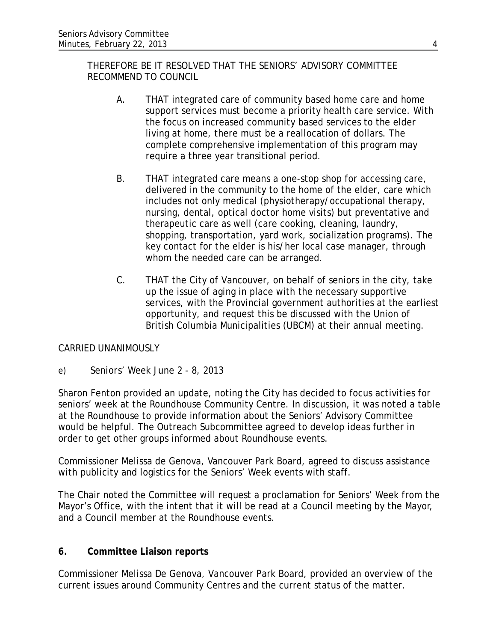THEREFORE BE IT RESOLVED THAT THE SENIORS' ADVISORY COMMITTEE RECOMMEND TO COUNCIL

- A. THAT integrated care of community based home care and home support services must become a priority health care service. With the focus on increased community based services to the elder living at home, there must be a reallocation of dollars. The complete comprehensive implementation of this program may require a three year transitional period.
- B. THAT integrated care means a one-stop shop for accessing care, delivered in the community to the home of the elder, care which includes not only medical (physiotherapy/occupational therapy, nursing, dental, optical doctor home visits) but preventative and therapeutic care as well (care cooking, cleaning, laundry, shopping, transportation, yard work, socialization programs). The key contact for the elder is his/her local case manager, through whom the needed care can be arranged.
- C. THAT the City of Vancouver, on behalf of seniors in the city, take up the issue of aging in place with the necessary supportive services, with the Provincial government authorities at the earliest opportunity, and request this be discussed with the Union of British Columbia Municipalities (UBCM) at their annual meeting.

## CARRIED UNANIMOUSLY

*e) Seniors' Week June 2 - 8, 2013* 

Sharon Fenton provided an update, noting the City has decided to focus activities for seniors' week at the Roundhouse Community Centre. In discussion, it was noted a table at the Roundhouse to provide information about the Seniors' Advisory Committee would be helpful. The Outreach Subcommittee agreed to develop ideas further in order to get other groups informed about Roundhouse events.

Commissioner Melissa de Genova, Vancouver Park Board, agreed to discuss assistance with publicity and logistics for the Seniors' Week events with staff.

The Chair noted the Committee will request a proclamation for Seniors' Week from the Mayor's Office, with the intent that it will be read at a Council meeting by the Mayor, and a Council member at the Roundhouse events.

## **6. Committee Liaison reports**

Commissioner Melissa De Genova, Vancouver Park Board, provided an overview of the current issues around Community Centres and the current status of the matter.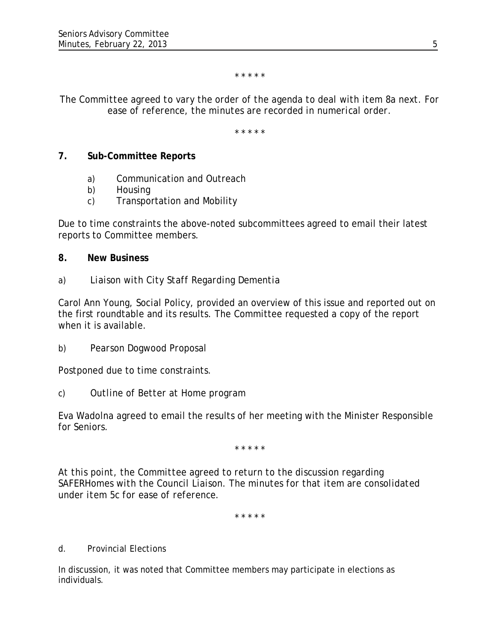\* \* \* \* \*

### *The Committee agreed to vary the order of the agenda to deal with item 8a next. For ease of reference, the minutes are recorded in numerical order.*

\* \* \* \* \*

### **7. Sub-Committee Reports**

- a) Communication and Outreach
- b) Housing
- c) Transportation and Mobility

Due to time constraints the above-noted subcommittees agreed to email their latest reports to Committee members.

### **8. New Business**

*a) Liaison with City Staff Regarding Dementia* 

Carol Ann Young, Social Policy, provided an overview of this issue and reported out on the first roundtable and its results. The Committee requested a copy of the report when it is available.

*b) Pearson Dogwood Proposal*

Postponed due to time constraints.

*c) Outline of Better at Home program*

Eva Wadolna agreed to email the results of her meeting with the Minister Responsible for Seniors.

\* \* \* \* \*

*At this point, the Committee agreed to return to the discussion regarding SAFERHomes with the Council Liaison. The minutes for that item are consolidated under item 5c for ease of reference.*

*\* \* \* \* \**

#### *d. Provincial Elections*

In discussion, it was noted that Committee members may participate in elections as individuals.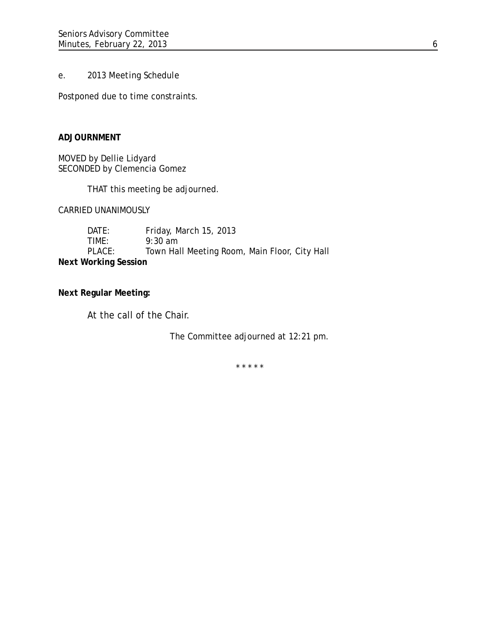#### *e. 2013 Meeting Schedule*

Postponed due to time constraints.

#### **ADJOURNMENT**

MOVED by Dellie Lidyard SECONDED by Clemencia Gomez

THAT this meeting be adjourned.

CARRIED UNANIMOUSLY

DATE: Friday, March 15, 2013 TIME: 9:30 am PLACE: Town Hall Meeting Room, Main Floor, City Hall **Next Working Session**

**Next Regular Meeting:**

At the call of the Chair.

The Committee adjourned at 12:21 pm.

\* \* \* \* \*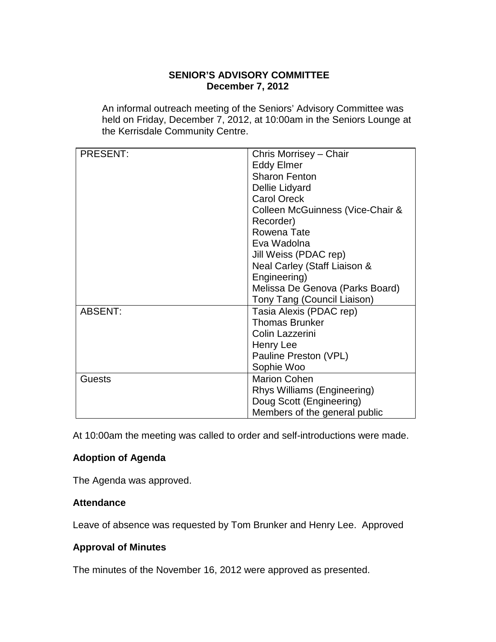### **SENIOR'S ADVISORY COMMITTEE December 7, 2012**

An informal outreach meeting of the Seniors' Advisory Committee was held on Friday, December 7, 2012, at 10:00am in the Seniors Lounge at the Kerrisdale Community Centre.

| <b>PRESENT:</b> | Chris Morrisey - Chair           |
|-----------------|----------------------------------|
|                 | <b>Eddy Elmer</b>                |
|                 | <b>Sharon Fenton</b>             |
|                 | Dellie Lidyard                   |
|                 | <b>Carol Oreck</b>               |
|                 | Colleen McGuinness (Vice-Chair & |
|                 | Recorder)                        |
|                 | Rowena Tate                      |
|                 | Eva Wadolna                      |
|                 | Jill Weiss (PDAC rep)            |
|                 | Neal Carley (Staff Liaison &     |
|                 | Engineering)                     |
|                 | Melissa De Genova (Parks Board)  |
|                 | Tony Tang (Council Liaison)      |
| <b>ABSENT:</b>  | Tasia Alexis (PDAC rep)          |
|                 | <b>Thomas Brunker</b>            |
|                 | Colin Lazzerini                  |
|                 | Henry Lee                        |
|                 | Pauline Preston (VPL)            |
|                 | Sophie Woo                       |
| <b>Guests</b>   | <b>Marion Cohen</b>              |
|                 | Rhys Williams (Engineering)      |
|                 | Doug Scott (Engineering)         |
|                 | Members of the general public    |

At 10:00am the meeting was called to order and self-introductions were made.

## **Adoption of Agenda**

The Agenda was approved.

#### **Attendance**

Leave of absence was requested by Tom Brunker and Henry Lee. Approved

### **Approval of Minutes**

The minutes of the November 16, 2012 were approved as presented.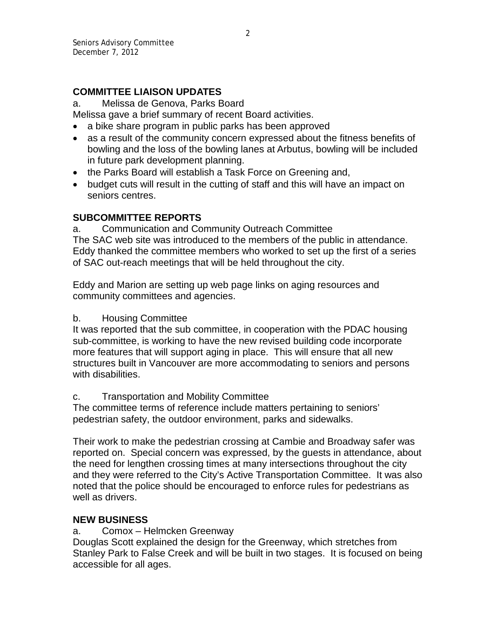## **COMMITTEE LIAISON UPDATES**

a. Melissa de Genova, Parks Board

Melissa gave a brief summary of recent Board activities.

- a bike share program in public parks has been approved
- as a result of the community concern expressed about the fitness benefits of bowling and the loss of the bowling lanes at Arbutus, bowling will be included in future park development planning.
- the Parks Board will establish a Task Force on Greening and,
- budget cuts will result in the cutting of staff and this will have an impact on seniors centres.

### **SUBCOMMITTEE REPORTS**

a. Communication and Community Outreach Committee The SAC web site was introduced to the members of the public in attendance. Eddy thanked the committee members who worked to set up the first of a series of SAC out-reach meetings that will be held throughout the city.

Eddy and Marion are setting up web page links on aging resources and community committees and agencies.

#### b. Housing Committee

It was reported that the sub committee, in cooperation with the PDAC housing sub-committee, is working to have the new revised building code incorporate more features that will support aging in place. This will ensure that all new structures built in Vancouver are more accommodating to seniors and persons with disabilities.

#### c. Transportation and Mobility Committee

The committee terms of reference include matters pertaining to seniors' pedestrian safety, the outdoor environment, parks and sidewalks.

Their work to make the pedestrian crossing at Cambie and Broadway safer was reported on. Special concern was expressed, by the guests in attendance, about the need for lengthen crossing times at many intersections throughout the city and they were referred to the City's Active Transportation Committee. It was also noted that the police should be encouraged to enforce rules for pedestrians as well as drivers.

## **NEW BUSINESS**

a. Comox – Helmcken Greenway

Douglas Scott explained the design for the Greenway, which stretches from Stanley Park to False Creek and will be built in two stages. It is focused on being accessible for all ages.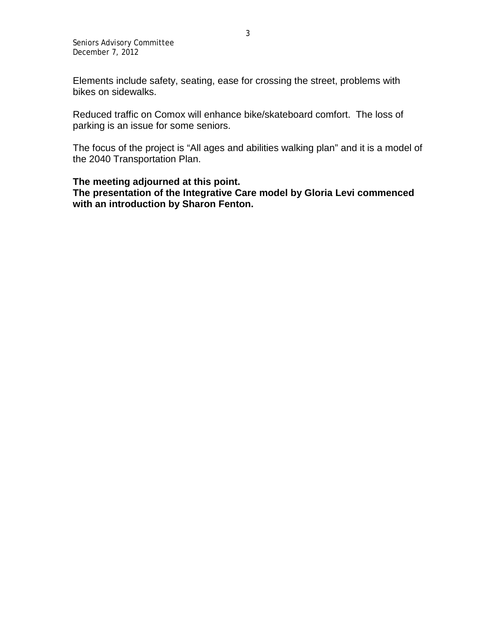Seniors Advisory Committee December 7, 2012

Elements include safety, seating, ease for crossing the street, problems with bikes on sidewalks.

Reduced traffic on Comox will enhance bike/skateboard comfort. The loss of parking is an issue for some seniors.

The focus of the project is "All ages and abilities walking plan" and it is a model of the 2040 Transportation Plan.

#### **The meeting adjourned at this point.**

**The presentation of the Integrative Care model by Gloria Levi commenced with an introduction by Sharon Fenton.**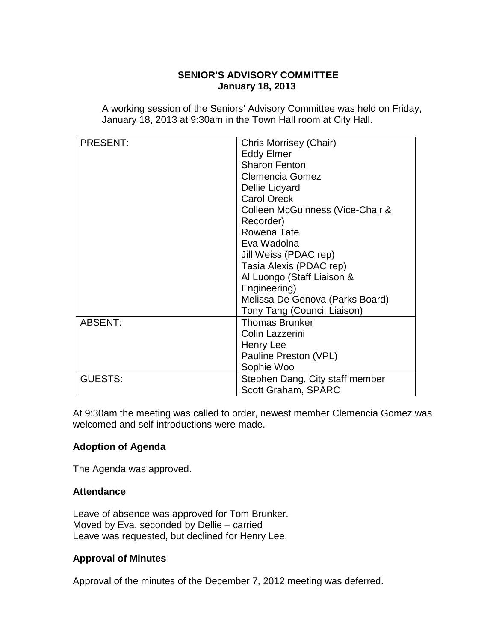### **SENIOR'S ADVISORY COMMITTEE January 18, 2013**

A working session of the Seniors' Advisory Committee was held on Friday, January 18, 2013 at 9:30am in the Town Hall room at City Hall.

| <b>PRESENT:</b> | Chris Morrisey (Chair)           |
|-----------------|----------------------------------|
|                 | <b>Eddy Elmer</b>                |
|                 | <b>Sharon Fenton</b>             |
|                 | <b>Clemencia Gomez</b>           |
|                 | Dellie Lidyard                   |
|                 | <b>Carol Oreck</b>               |
|                 | Colleen McGuinness (Vice-Chair & |
|                 | Recorder)                        |
|                 | Rowena Tate                      |
|                 | Eva Wadolna                      |
|                 | Jill Weiss (PDAC rep)            |
|                 | Tasia Alexis (PDAC rep)          |
|                 | Al Luongo (Staff Liaison &       |
|                 | Engineering)                     |
|                 | Melissa De Genova (Parks Board)  |
|                 | Tony Tang (Council Liaison)      |
| <b>ABSENT:</b>  | <b>Thomas Brunker</b>            |
|                 | Colin Lazzerini                  |
|                 | Henry Lee                        |
|                 | Pauline Preston (VPL)            |
|                 | Sophie Woo                       |
| <b>GUESTS:</b>  | Stephen Dang, City staff member  |
|                 | <b>Scott Graham, SPARC</b>       |

At 9:30am the meeting was called to order, newest member Clemencia Gomez was welcomed and self-introductions were made.

#### **Adoption of Agenda**

The Agenda was approved.

#### **Attendance**

Leave of absence was approved for Tom Brunker. Moved by Eva, seconded by Dellie – carried Leave was requested, but declined for Henry Lee.

#### **Approval of Minutes**

Approval of the minutes of the December 7, 2012 meeting was deferred.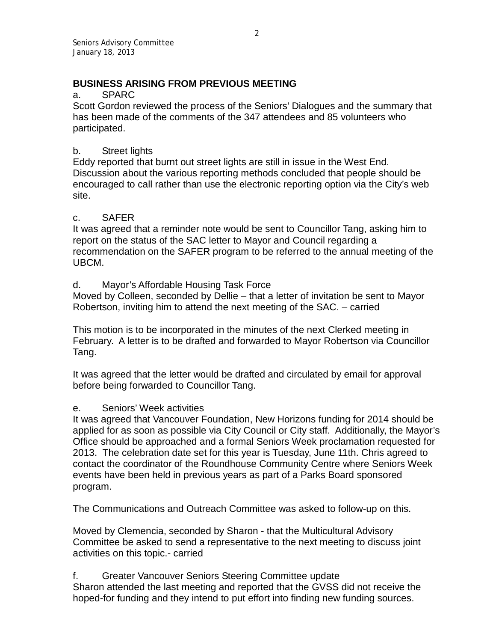## **BUSINESS ARISING FROM PREVIOUS MEETING**

### a. SPARC

Scott Gordon reviewed the process of the Seniors' Dialogues and the summary that has been made of the comments of the 347 attendees and 85 volunteers who participated.

## b. Street lights

Eddy reported that burnt out street lights are still in issue in the West End. Discussion about the various reporting methods concluded that people should be encouraged to call rather than use the electronic reporting option via the City's web site.

## c. SAFER

It was agreed that a reminder note would be sent to Councillor Tang, asking him to report on the status of the SAC letter to Mayor and Council regarding a recommendation on the SAFER program to be referred to the annual meeting of the UBCM.

## d. Mayor's Affordable Housing Task Force

Moved by Colleen, seconded by Dellie – that a letter of invitation be sent to Mayor Robertson, inviting him to attend the next meeting of the SAC. – carried

This motion is to be incorporated in the minutes of the next Clerked meeting in February. A letter is to be drafted and forwarded to Mayor Robertson via Councillor Tang.

It was agreed that the letter would be drafted and circulated by email for approval before being forwarded to Councillor Tang.

## e. Seniors' Week activities

It was agreed that Vancouver Foundation, New Horizons funding for 2014 should be applied for as soon as possible via City Council or City staff. Additionally, the Mayor's Office should be approached and a formal Seniors Week proclamation requested for 2013. The celebration date set for this year is Tuesday, June 11th. Chris agreed to contact the coordinator of the Roundhouse Community Centre where Seniors Week events have been held in previous years as part of a Parks Board sponsored program.

The Communications and Outreach Committee was asked to follow-up on this.

Moved by Clemencia, seconded by Sharon - that the Multicultural Advisory Committee be asked to send a representative to the next meeting to discuss joint activities on this topic.- carried

f. Greater Vancouver Seniors Steering Committee update Sharon attended the last meeting and reported that the GVSS did not receive the hoped-for funding and they intend to put effort into finding new funding sources.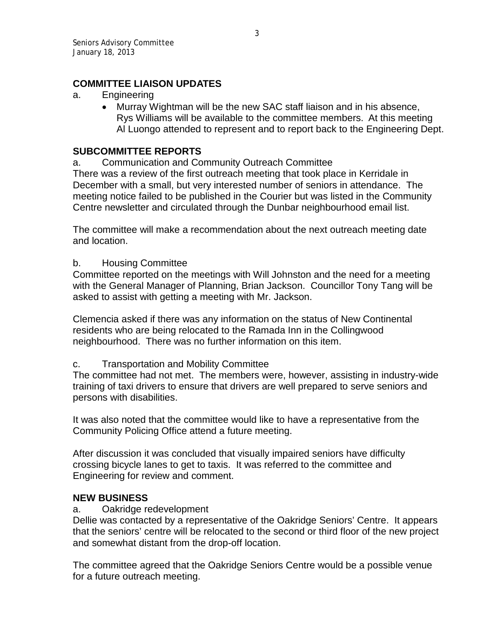## **COMMITTEE LIAISON UPDATES**

- a. Engineering
	- Murray Wightman will be the new SAC staff liaison and in his absence, Rys Williams will be available to the committee members. At this meeting Al Luongo attended to represent and to report back to the Engineering Dept.

### **SUBCOMMITTEE REPORTS**

a. Communication and Community Outreach Committee

There was a review of the first outreach meeting that took place in Kerridale in December with a small, but very interested number of seniors in attendance. The meeting notice failed to be published in the Courier but was listed in the Community Centre newsletter and circulated through the Dunbar neighbourhood email list.

The committee will make a recommendation about the next outreach meeting date and location.

#### b. Housing Committee

Committee reported on the meetings with Will Johnston and the need for a meeting with the General Manager of Planning, Brian Jackson. Councillor Tony Tang will be asked to assist with getting a meeting with Mr. Jackson.

Clemencia asked if there was any information on the status of New Continental residents who are being relocated to the Ramada Inn in the Collingwood neighbourhood. There was no further information on this item.

#### c. Transportation and Mobility Committee

The committee had not met. The members were, however, assisting in industry-wide training of taxi drivers to ensure that drivers are well prepared to serve seniors and persons with disabilities.

It was also noted that the committee would like to have a representative from the Community Policing Office attend a future meeting.

After discussion it was concluded that visually impaired seniors have difficulty crossing bicycle lanes to get to taxis. It was referred to the committee and Engineering for review and comment.

## **NEW BUSINESS**

#### a. Oakridge redevelopment

Dellie was contacted by a representative of the Oakridge Seniors' Centre. It appears that the seniors' centre will be relocated to the second or third floor of the new project and somewhat distant from the drop-off location.

The committee agreed that the Oakridge Seniors Centre would be a possible venue for a future outreach meeting.